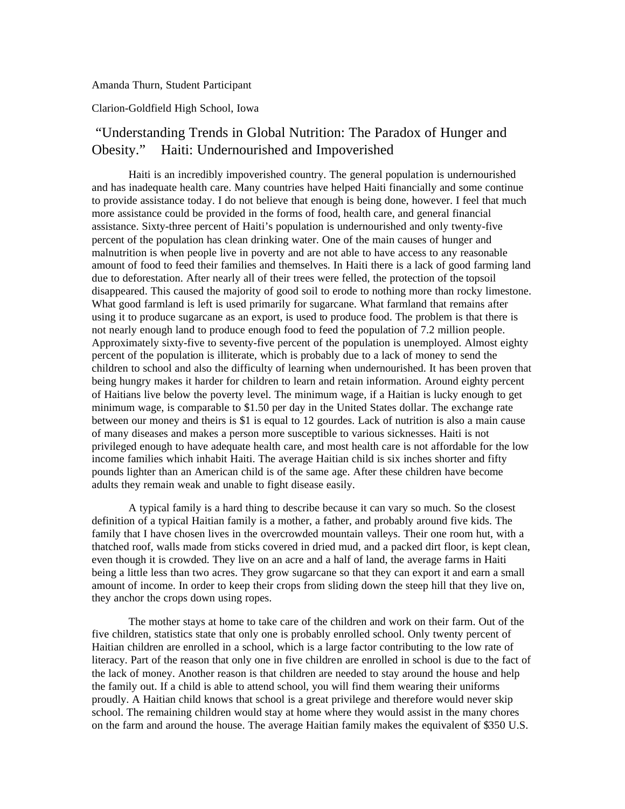Amanda Thurn, Student Participant

## Clarion-Goldfield High School, Iowa

## "Understanding Trends in Global Nutrition: The Paradox of Hunger and Obesity." Haiti: Undernourished and Impoverished

Haiti is an incredibly impoverished country. The general population is undernourished and has inadequate health care. Many countries have helped Haiti financially and some continue to provide assistance today. I do not believe that enough is being done, however. I feel that much more assistance could be provided in the forms of food, health care, and general financial assistance. Sixty-three percent of Haiti's population is undernourished and only twenty-five percent of the population has clean drinking water. One of the main causes of hunger and malnutrition is when people live in poverty and are not able to have access to any reasonable amount of food to feed their families and themselves. In Haiti there is a lack of good farming land due to deforestation. After nearly all of their trees were felled, the protection of the topsoil disappeared. This caused the majority of good soil to erode to nothing more than rocky limestone. What good farmland is left is used primarily for sugarcane. What farmland that remains after using it to produce sugarcane as an export, is used to produce food. The problem is that there is not nearly enough land to produce enough food to feed the population of 7.2 million people. Approximately sixty-five to seventy-five percent of the population is unemployed. Almost eighty percent of the population is illiterate, which is probably due to a lack of money to send the children to school and also the difficulty of learning when undernourished. It has been proven that being hungry makes it harder for children to learn and retain information. Around eighty percent of Haitians live below the poverty level. The minimum wage, if a Haitian is lucky enough to get minimum wage, is comparable to \$1.50 per day in the United States dollar. The exchange rate between our money and theirs is \$1 is equal to 12 gourdes. Lack of nutrition is also a main cause of many diseases and makes a person more susceptible to various sicknesses. Haiti is not privileged enough to have adequate health care, and most health care is not affordable for the low income families which inhabit Haiti. The average Haitian child is six inches shorter and fifty pounds lighter than an American child is of the same age. After these children have become adults they remain weak and unable to fight disease easily.

A typical family is a hard thing to describe because it can vary so much. So the closest definition of a typical Haitian family is a mother, a father, and probably around five kids. The family that I have chosen lives in the overcrowded mountain valleys. Their one room hut, with a thatched roof, walls made from sticks covered in dried mud, and a packed dirt floor, is kept clean, even though it is crowded. They live on an acre and a half of land, the average farms in Haiti being a little less than two acres. They grow sugarcane so that they can export it and earn a small amount of income. In order to keep their crops from sliding down the steep hill that they live on, they anchor the crops down using ropes.

The mother stays at home to take care of the children and work on their farm. Out of the five children, statistics state that only one is probably enrolled school. Only twenty percent of Haitian children are enrolled in a school, which is a large factor contributing to the low rate of literacy. Part of the reason that only one in five children are enrolled in school is due to the fact of the lack of money. Another reason is that children are needed to stay around the house and help the family out. If a child is able to attend school, you will find them wearing their uniforms proudly. A Haitian child knows that school is a great privilege and therefore would never skip school. The remaining children would stay at home where they would assist in the many chores on the farm and around the house. The average Haitian family makes the equivalent of \$350 U.S.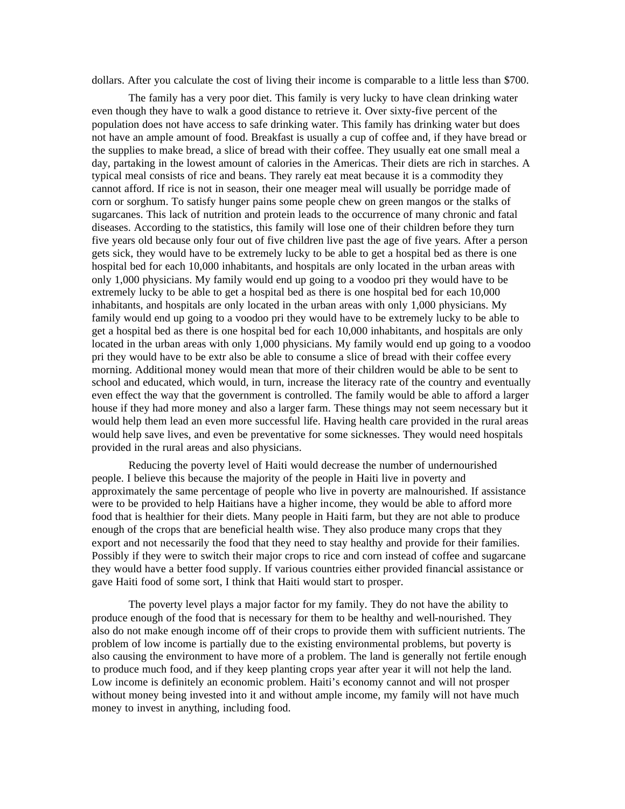dollars. After you calculate the cost of living their income is comparable to a little less than \$700.

The family has a very poor diet. This family is very lucky to have clean drinking water even though they have to walk a good distance to retrieve it. Over sixty-five percent of the population does not have access to safe drinking water. This family has drinking water but does not have an ample amount of food. Breakfast is usually a cup of coffee and, if they have bread or the supplies to make bread, a slice of bread with their coffee. They usually eat one small meal a day, partaking in the lowest amount of calories in the Americas. Their diets are rich in starches. A typical meal consists of rice and beans. They rarely eat meat because it is a commodity they cannot afford. If rice is not in season, their one meager meal will usually be porridge made of corn or sorghum. To satisfy hunger pains some people chew on green mangos or the stalks of sugarcanes. This lack of nutrition and protein leads to the occurrence of many chronic and fatal diseases. According to the statistics, this family will lose one of their children before they turn five years old because only four out of five children live past the age of five years. After a person gets sick, they would have to be extremely lucky to be able to get a hospital bed as there is one hospital bed for each 10,000 inhabitants, and hospitals are only located in the urban areas with only 1,000 physicians. My family would end up going to a voodoo pri they would have to be extremely lucky to be able to get a hospital bed as there is one hospital bed for each 10,000 inhabitants, and hospitals are only located in the urban areas with only 1,000 physicians. My family would end up going to a voodoo pri they would have to be extremely lucky to be able to get a hospital bed as there is one hospital bed for each 10,000 inhabitants, and hospitals are only located in the urban areas with only 1,000 physicians. My family would end up going to a voodoo pri they would have to be extr also be able to consume a slice of bread with their coffee every morning. Additional money would mean that more of their children would be able to be sent to school and educated, which would, in turn, increase the literacy rate of the country and eventually even effect the way that the government is controlled. The family would be able to afford a larger house if they had more money and also a larger farm. These things may not seem necessary but it would help them lead an even more successful life. Having health care provided in the rural areas would help save lives, and even be preventative for some sicknesses. They would need hospitals provided in the rural areas and also physicians.

Reducing the poverty level of Haiti would decrease the number of undernourished people. I believe this because the majority of the people in Haiti live in poverty and approximately the same percentage of people who live in poverty are malnourished. If assistance were to be provided to help Haitians have a higher income, they would be able to afford more food that is healthier for their diets. Many people in Haiti farm, but they are not able to produce enough of the crops that are beneficial health wise. They also produce many crops that they export and not necessarily the food that they need to stay healthy and provide for their families. Possibly if they were to switch their major crops to rice and corn instead of coffee and sugarcane they would have a better food supply. If various countries either provided financial assistance or gave Haiti food of some sort, I think that Haiti would start to prosper.

The poverty level plays a major factor for my family. They do not have the ability to produce enough of the food that is necessary for them to be healthy and well-nourished. They also do not make enough income off of their crops to provide them with sufficient nutrients. The problem of low income is partially due to the existing environmental problems, but poverty is also causing the environment to have more of a problem. The land is generally not fertile enough to produce much food, and if they keep planting crops year after year it will not help the land. Low income is definitely an economic problem. Haiti's economy cannot and will not prosper without money being invested into it and without ample income, my family will not have much money to invest in anything, including food.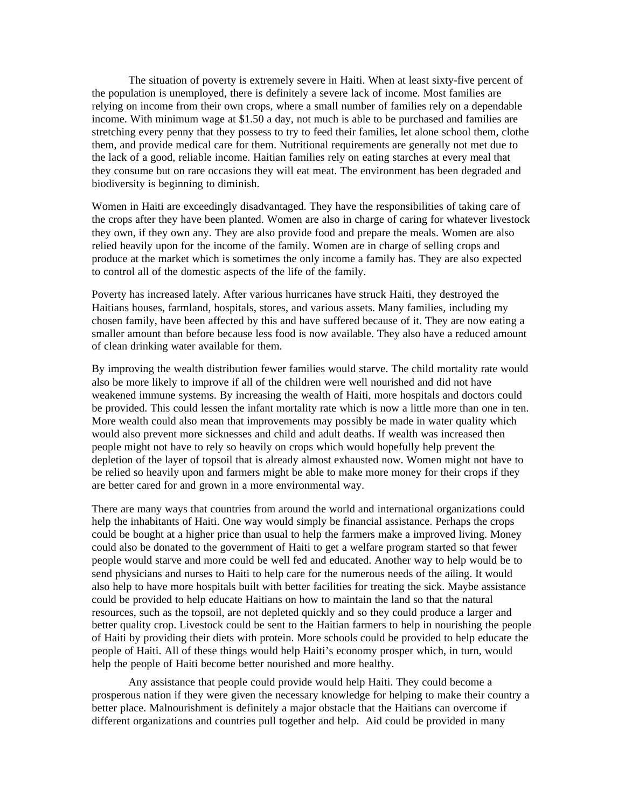The situation of poverty is extremely severe in Haiti. When at least sixty-five percent of the population is unemployed, there is definitely a severe lack of income. Most families are relying on income from their own crops, where a small number of families rely on a dependable income. With minimum wage at \$1.50 a day, not much is able to be purchased and families are stretching every penny that they possess to try to feed their families, let alone school them, clothe them, and provide medical care for them. Nutritional requirements are generally not met due to the lack of a good, reliable income. Haitian families rely on eating starches at every meal that they consume but on rare occasions they will eat meat. The environment has been degraded and biodiversity is beginning to diminish.

Women in Haiti are exceedingly disadvantaged. They have the responsibilities of taking care of the crops after they have been planted. Women are also in charge of caring for whatever livestock they own, if they own any. They are also provide food and prepare the meals. Women are also relied heavily upon for the income of the family. Women are in charge of selling crops and produce at the market which is sometimes the only income a family has. They are also expected to control all of the domestic aspects of the life of the family.

Poverty has increased lately. After various hurricanes have struck Haiti, they destroyed the Haitians houses, farmland, hospitals, stores, and various assets. Many families, including my chosen family, have been affected by this and have suffered because of it. They are now eating a smaller amount than before because less food is now available. They also have a reduced amount of clean drinking water available for them.

By improving the wealth distribution fewer families would starve. The child mortality rate would also be more likely to improve if all of the children were well nourished and did not have weakened immune systems. By increasing the wealth of Haiti, more hospitals and doctors could be provided. This could lessen the infant mortality rate which is now a little more than one in ten. More wealth could also mean that improvements may possibly be made in water quality which would also prevent more sicknesses and child and adult deaths. If wealth was increased then people might not have to rely so heavily on crops which would hopefully help prevent the depletion of the layer of topsoil that is already almost exhausted now. Women might not have to be relied so heavily upon and farmers might be able to make more money for their crops if they are better cared for and grown in a more environmental way.

There are many ways that countries from around the world and international organizations could help the inhabitants of Haiti. One way would simply be financial assistance. Perhaps the crops could be bought at a higher price than usual to help the farmers make a improved living. Money could also be donated to the government of Haiti to get a welfare program started so that fewer people would starve and more could be well fed and educated. Another way to help would be to send physicians and nurses to Haiti to help care for the numerous needs of the ailing. It would also help to have more hospitals built with better facilities for treating the sick. Maybe assistance could be provided to help educate Haitians on how to maintain the land so that the natural resources, such as the topsoil, are not depleted quickly and so they could produce a larger and better quality crop. Livestock could be sent to the Haitian farmers to help in nourishing the people of Haiti by providing their diets with protein. More schools could be provided to help educate the people of Haiti. All of these things would help Haiti's economy prosper which, in turn, would help the people of Haiti become better nourished and more healthy.

Any assistance that people could provide would help Haiti. They could become a prosperous nation if they were given the necessary knowledge for helping to make their country a better place. Malnourishment is definitely a major obstacle that the Haitians can overcome if different organizations and countries pull together and help. Aid could be provided in many